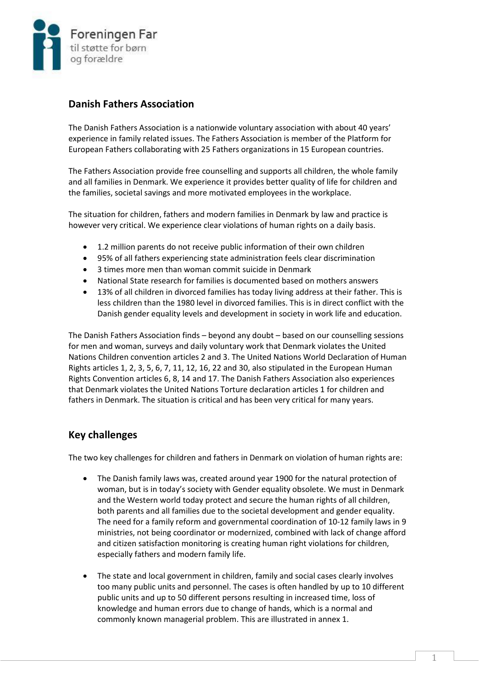

# **Danish Fathers Association**

The Danish Fathers Association is a nationwide voluntary association with about 40 years' experience in family related issues. The Fathers Association is member of the Platform for European Fathers collaborating with 25 Fathers organizations in 15 European countries.

The Fathers Association provide free counselling and supports all children, the whole family and all families in Denmark. We experience it provides better quality of life for children and the families, societal savings and more motivated employees in the workplace.

The situation for children, fathers and modern families in Denmark by law and practice is however very critical. We experience clear violations of human rights on a daily basis.

- 1.2 million parents do not receive public information of their own children
- 95% of all fathers experiencing state administration feels clear discrimination
- 3 times more men than woman commit suicide in Denmark
- National State research for families is documented based on mothers answers
- 13% of all children in divorced families has today living address at their father. This is less children than the 1980 level in divorced families. This is in direct conflict with the Danish gender equality levels and development in society in work life and education.

The Danish Fathers Association finds – beyond any doubt – based on our counselling sessions for men and woman, surveys and daily voluntary work that Denmark violates the United Nations Children convention articles 2 and 3. The United Nations World Declaration of Human Rights articles 1, 2, 3, 5, 6, 7, 11, 12, 16, 22 and 30, also stipulated in the European Human Rights Convention articles 6, 8, 14 and 17. The Danish Fathers Association also experiences that Denmark violates the United Nations Torture declaration articles 1 for children and fathers in Denmark. The situation is critical and has been very critical for many years.

# **Key challenges**

The two key challenges for children and fathers in Denmark on violation of human rights are:

- The Danish family laws was, created around year 1900 for the natural protection of woman, but is in today's society with Gender equality obsolete. We must in Denmark and the Western world today protect and secure the human rights of all children, both parents and all families due to the societal development and gender equality. The need for a family reform and governmental coordination of 10-12 family laws in 9 ministries, not being coordinator or modernized, combined with lack of change afford and citizen satisfaction monitoring is creating human right violations for children, especially fathers and modern family life.
- The state and local government in children, family and social cases clearly involves too many public units and personnel. The cases is often handled by up to 10 different public units and up to 50 different persons resulting in increased time, loss of knowledge and human errors due to change of hands, which is a normal and commonly known managerial problem. This are illustrated in annex 1.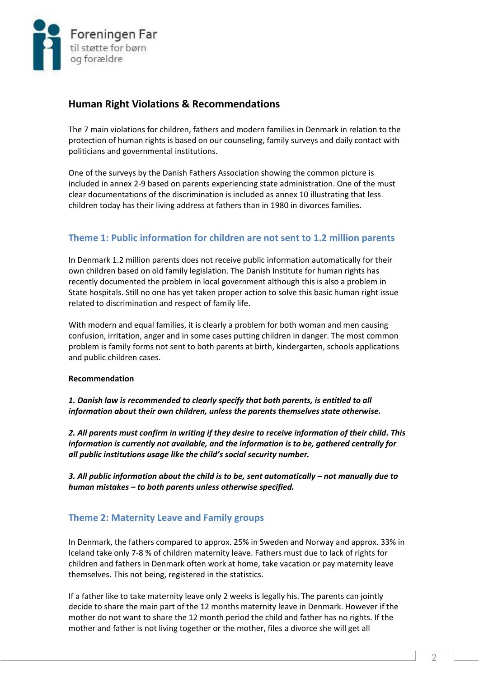

# **Human Right Violations & Recommendations**

The 7 main violations for children, fathers and modern families in Denmark in relation to the protection of human rights is based on our counseling, family surveys and daily contact with politicians and governmental institutions.

One of the surveys by the Danish Fathers Association showing the common picture is included in annex 2-9 based on parents experiencing state administration. One of the must clear documentations of the discrimination is included as annex 10 illustrating that less children today has their living address at fathers than in 1980 in divorces families.

# **Theme 1: Public information for children are not sent to 1.2 million parents**

In Denmark 1.2 million parents does not receive public information automatically for their own children based on old family legislation. The Danish Institute for human rights has recently documented the problem in local government although this is also a problem in State hospitals. Still no one has yet taken proper action to solve this basic human right issue related to discrimination and respect of family life.

With modern and equal families, it is clearly a problem for both woman and men causing confusion, irritation, anger and in some cases putting children in danger. The most common problem is family forms not sent to both parents at birth, kindergarten, schools applications and public children cases.

## **Recommendation**

*1. Danish law is recommended to clearly specify that both parents, is entitled to all information about their own children, unless the parents themselves state otherwise.*

*2. All parents must confirm in writing if they desire to receive information of their child. This information is currently not available, and the information is to be, gathered centrally for all public institutions usage like the child's social security number.* 

*3. All public information about the child is to be, sent automatically – not manually due to human mistakes – to both parents unless otherwise specified.*

# **Theme 2: Maternity Leave and Family groups**

In Denmark, the fathers compared to approx. 25% in Sweden and Norway and approx. 33% in Iceland take only 7-8 % of children maternity leave. Fathers must due to lack of rights for children and fathers in Denmark often work at home, take vacation or pay maternity leave themselves. This not being, registered in the statistics.

If a father like to take maternity leave only 2 weeks is legally his. The parents can jointly decide to share the main part of the 12 months maternity leave in Denmark. However if the mother do not want to share the 12 month period the child and father has no rights. If the mother and father is not living together or the mother, files a divorce she will get all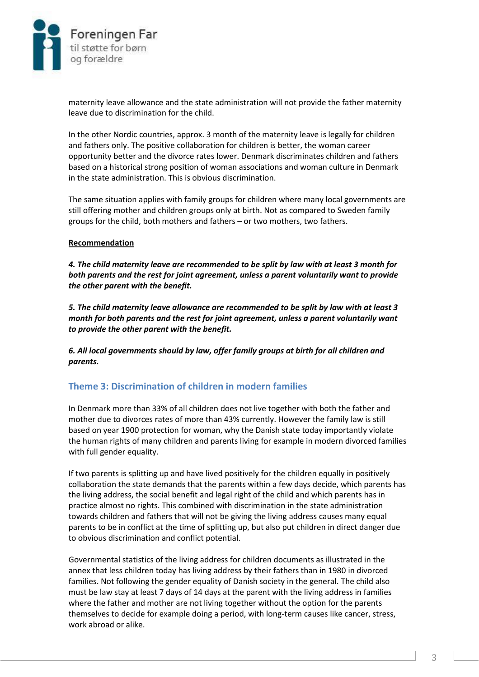

maternity leave allowance and the state administration will not provide the father maternity leave due to discrimination for the child.

In the other Nordic countries, approx. 3 month of the maternity leave is legally for children and fathers only. The positive collaboration for children is better, the woman career opportunity better and the divorce rates lower. Denmark discriminates children and fathers based on a historical strong position of woman associations and woman culture in Denmark in the state administration. This is obvious discrimination.

The same situation applies with family groups for children where many local governments are still offering mother and children groups only at birth. Not as compared to Sweden family groups for the child, both mothers and fathers – or two mothers, two fathers.

#### **Recommendation**

*4. The child maternity leave are recommended to be split by law with at least 3 month for both parents and the rest for joint agreement, unless a parent voluntarily want to provide the other parent with the benefit.*

*5. The child maternity leave allowance are recommended to be split by law with at least 3 month for both parents and the rest for joint agreement, unless a parent voluntarily want to provide the other parent with the benefit.* 

*6. All local governments should by law, offer family groups at birth for all children and parents.*

## **Theme 3: Discrimination of children in modern families**

In Denmark more than 33% of all children does not live together with both the father and mother due to divorces rates of more than 43% currently. However the family law is still based on year 1900 protection for woman, why the Danish state today importantly violate the human rights of many children and parents living for example in modern divorced families with full gender equality.

If two parents is splitting up and have lived positively for the children equally in positively collaboration the state demands that the parents within a few days decide, which parents has the living address, the social benefit and legal right of the child and which parents has in practice almost no rights. This combined with discrimination in the state administration towards children and fathers that will not be giving the living address causes many equal parents to be in conflict at the time of splitting up, but also put children in direct danger due to obvious discrimination and conflict potential.

Governmental statistics of the living address for children documents as illustrated in the annex that less children today has living address by their fathers than in 1980 in divorced families. Not following the gender equality of Danish society in the general. The child also must be law stay at least 7 days of 14 days at the parent with the living address in families where the father and mother are not living together without the option for the parents themselves to decide for example doing a period, with long-term causes like cancer, stress, work abroad or alike.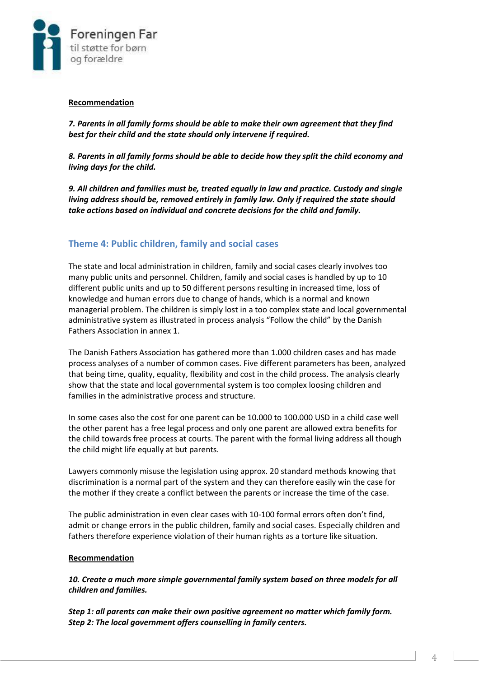

#### **Recommendation**

*7. Parents in all family forms should be able to make their own agreement that they find best for their child and the state should only intervene if required.* 

*8. Parents in all family forms should be able to decide how they split the child economy and living days for the child.*

*9. All children and families must be, treated equally in law and practice. Custody and single living address should be, removed entirely in family law. Only if required the state should take actions based on individual and concrete decisions for the child and family.*

## **Theme 4: Public children, family and social cases**

The state and local administration in children, family and social cases clearly involves too many public units and personnel. Children, family and social cases is handled by up to 10 different public units and up to 50 different persons resulting in increased time, loss of knowledge and human errors due to change of hands, which is a normal and known managerial problem. The children is simply lost in a too complex state and local governmental administrative system as illustrated in process analysis "Follow the child" by the Danish Fathers Association in annex 1.

The Danish Fathers Association has gathered more than 1.000 children cases and has made process analyses of a number of common cases. Five different parameters has been, analyzed that being time, quality, equality, flexibility and cost in the child process. The analysis clearly show that the state and local governmental system is too complex loosing children and families in the administrative process and structure.

In some cases also the cost for one parent can be 10.000 to 100.000 USD in a child case well the other parent has a free legal process and only one parent are allowed extra benefits for the child towards free process at courts. The parent with the formal living address all though the child might life equally at but parents.

Lawyers commonly misuse the legislation using approx. 20 standard methods knowing that discrimination is a normal part of the system and they can therefore easily win the case for the mother if they create a conflict between the parents or increase the time of the case.

The public administration in even clear cases with 10-100 formal errors often don't find, admit or change errors in the public children, family and social cases. Especially children and fathers therefore experience violation of their human rights as a torture like situation.

## **Recommendation**

*10. Create a much more simple governmental family system based on three models for all children and families.* 

*Step 1: all parents can make their own positive agreement no matter which family form. Step 2: The local government offers counselling in family centers.*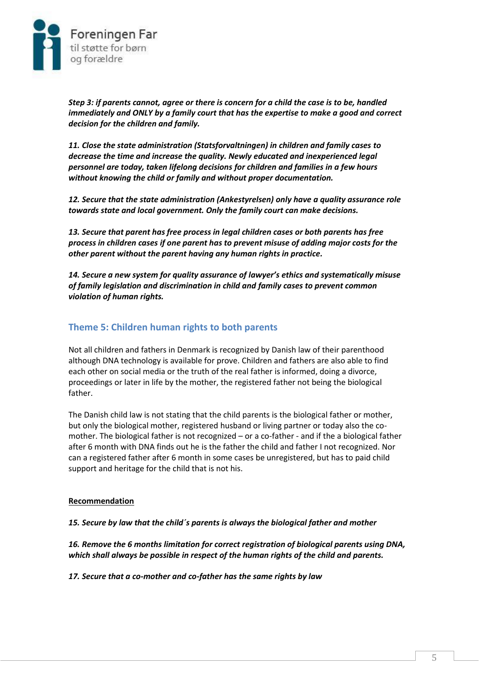

*Step 3: if parents cannot, agree or there is concern for a child the case is to be, handled immediately and ONLY by a family court that has the expertise to make a good and correct decision for the children and family.* 

*11. Close the state administration (Statsforvaltningen) in children and family cases to decrease the time and increase the quality. Newly educated and inexperienced legal personnel are today, taken lifelong decisions for children and families in a few hours without knowing the child or family and without proper documentation.* 

*12. Secure that the state administration (Ankestyrelsen) only have a quality assurance role towards state and local government. Only the family court can make decisions.*

*13. Secure that parent has free process in legal children cases or both parents has free process in children cases if one parent has to prevent misuse of adding major costs for the other parent without the parent having any human rights in practice.*

*14. Secure a new system for quality assurance of lawyer's ethics and systematically misuse of family legislation and discrimination in child and family cases to prevent common violation of human rights.*

## **Theme 5: Children human rights to both parents**

Not all children and fathers in Denmark is recognized by Danish law of their parenthood although DNA technology is available for prove. Children and fathers are also able to find each other on social media or the truth of the real father is informed, doing a divorce, proceedings or later in life by the mother, the registered father not being the biological father.

The Danish child law is not stating that the child parents is the biological father or mother, but only the biological mother, registered husband or living partner or today also the comother. The biological father is not recognized – or a co-father - and if the a biological father after 6 month with DNA finds out he is the father the child and father I not recognized. Nor can a registered father after 6 month in some cases be unregistered, but has to paid child support and heritage for the child that is not his.

#### **Recommendation**

*15. Secure by law that the child´s parents is always the biological father and mother*

*16. Remove the 6 months limitation for correct registration of biological parents using DNA, which shall always be possible in respect of the human rights of the child and parents.*

*17. Secure that a co-mother and co-father has the same rights by law*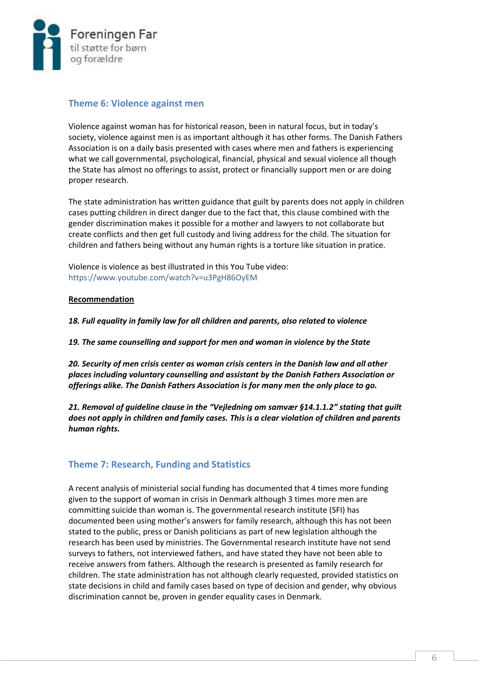

## **Theme 6: Violence against men**

Violence against woman has for historical reason, been in natural focus, but in today's society, violence against men is as important although it has other forms. The Danish Fathers Association is on a daily basis presented with cases where men and fathers is experiencing what we call governmental, psychological, financial, physical and sexual violence all though the State has almost no offerings to assist, protect or financially support men or are doing proper research.

The state administration has written guidance that guilt by parents does not apply in children cases putting children in direct danger due to the fact that, this clause combined with the gender discrimination makes it possible for a mother and lawyers to not collaborate but create conflicts and then get full custody and living address for the child. The situation for children and fathers being without any human rights is a torture like situation in pratice.

Violence is violence as best illustrated in this You Tube video: <https://www.youtube.com/watch?v=u3PgH86OyEM>

## **Recommendation**

*18. Full equality in family law for all children and parents, also related to violence*

*19. The same counselling and support for men and woman in violence by the State*

*20. Security of men crisis center as woman crisis centers in the Danish law and all other places including voluntary counselling and assistant by the Danish Fathers Association or offerings alike. The Danish Fathers Association is for many men the only place to go.*

*21. Removal of guideline clause in the "Vejledning om samvær §14.1.1.2" stating that guilt does not apply in children and family cases. This is a clear violation of children and parents human rights.*

## **Theme 7: Research, Funding and Statistics**

A recent analysis of ministerial social funding has documented that 4 times more funding given to the support of woman in crisis in Denmark although 3 times more men are committing suicide than woman is. The governmental research institute (SFI) has documented been using mother's answers for family research, although this has not been stated to the public, press or Danish politicians as part of new legislation although the research has been used by ministries. The Governmental research institute have not send surveys to fathers, not interviewed fathers, and have stated they have not been able to receive answers from fathers. Although the research is presented as family research for children. The state administration has not although clearly requested, provided statistics on state decisions in child and family cases based on type of decision and gender, why obvious discrimination cannot be, proven in gender equality cases in Denmark.